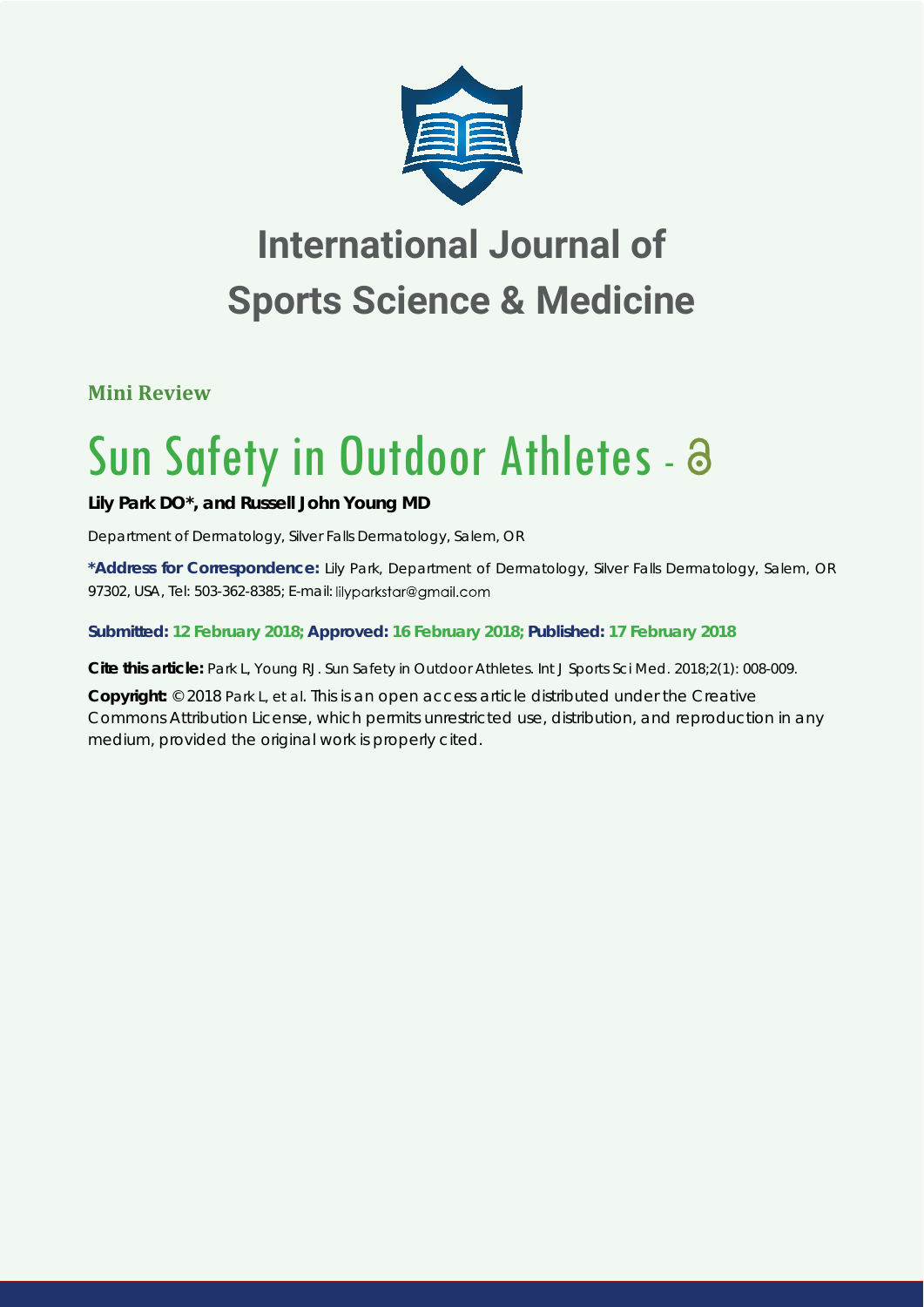

# **International Journal of Sports Science & Medicine**

**Mini Review**

# Sun Safety in Outdoor Athletes - a

## **Lily Park DO\*, and Russell John Young MD**

*Department of Dermatology, Silver Falls Dermatology, Salem, OR*

**\*Address for Correspondence:** Lily Park, Department of Dermatology, Silver Falls Dermatology, Salem, OR 97302, USA, Tel: 503-362-8385; E-mail: lilyparkstar@gmail.com

#### **Submitted: 12 February 2018; Approved: 16 February 2018; Published: 17 February 2018**

**Cite this article:** Park L, Young RJ. Sun Safety in Outdoor Athletes. Int J Sports Sci Med. 2018;2(1): 008-009.

**Copyright:** © 2018 Park L, et al. This is an open access article distributed under the Creative Commons Attribution License, which permits unrestricted use, distribution, and reproduction in any medium, provided the original work is properly cited.